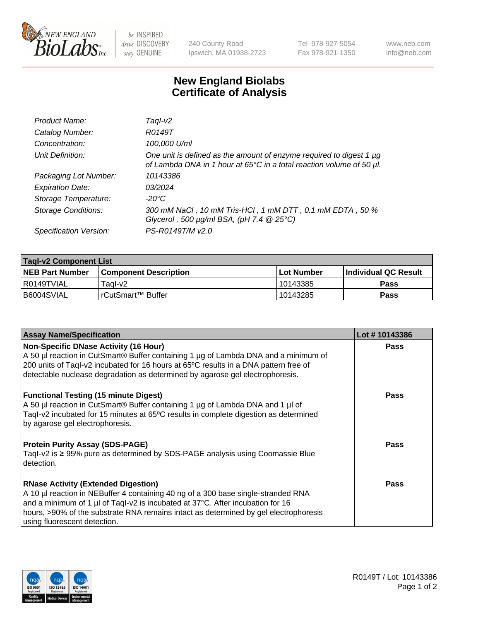

 $be$  INSPIRED drive DISCOVERY stay GENUINE

240 County Road Ipswich, MA 01938-2723 Tel 978-927-5054 Fax 978-921-1350 www.neb.com info@neb.com

## **New England Biolabs Certificate of Analysis**

| Product Name:              | Tagl-v2                                                                                                                                     |
|----------------------------|---------------------------------------------------------------------------------------------------------------------------------------------|
| Catalog Number:            | R0149T                                                                                                                                      |
| Concentration:             | 100,000 U/ml                                                                                                                                |
| Unit Definition:           | One unit is defined as the amount of enzyme required to digest 1 µg<br>of Lambda DNA in 1 hour at 65°C in a total reaction volume of 50 µl. |
| Packaging Lot Number:      | 10143386                                                                                                                                    |
| <b>Expiration Date:</b>    | 03/2024                                                                                                                                     |
| Storage Temperature:       | $-20^{\circ}$ C                                                                                                                             |
| <b>Storage Conditions:</b> | 300 mM NaCl, 10 mM Tris-HCl, 1 mM DTT, 0.1 mM EDTA, 50 %<br>Glycerol, 500 $\mu$ g/ml BSA, (pH 7.4 $@25°C$ )                                 |
| Specification Version:     | PS-R0149T/M v2.0                                                                                                                            |

| <b>Tagl-v2 Component List</b> |                              |              |                             |  |  |
|-------------------------------|------------------------------|--------------|-----------------------------|--|--|
| <b>NEB Part Number</b>        | <b>Component Description</b> | l Lot Number | <b>Individual QC Result</b> |  |  |
| l R0149TVIAL                  | Taɑl-v2                      | 10143385     | Pass                        |  |  |
| I B6004SVIAL                  | !rCutSmart™ Buffer_          | 10143285     | Pass                        |  |  |

| <b>Assay Name/Specification</b>                                                                                                                                                                                                                                                                                                           | Lot #10143386 |
|-------------------------------------------------------------------------------------------------------------------------------------------------------------------------------------------------------------------------------------------------------------------------------------------------------------------------------------------|---------------|
| <b>Non-Specific DNase Activity (16 Hour)</b><br>A 50 µl reaction in CutSmart® Buffer containing 1 µg of Lambda DNA and a minimum of<br>200 units of Taql-v2 incubated for 16 hours at 65°C results in a DNA pattern free of<br>detectable nuclease degradation as determined by agarose gel electrophoresis.                              | <b>Pass</b>   |
| <b>Functional Testing (15 minute Digest)</b><br>A 50 µl reaction in CutSmart® Buffer containing 1 µg of Lambda DNA and 1 µl of<br>Tagl-v2 incubated for 15 minutes at 65°C results in complete digestion as determined<br>by agarose gel electrophoresis.                                                                                 | Pass          |
| <b>Protein Purity Assay (SDS-PAGE)</b><br>Taql-v2 is ≥ 95% pure as determined by SDS-PAGE analysis using Coomassie Blue<br>detection.                                                                                                                                                                                                     | Pass          |
| <b>RNase Activity (Extended Digestion)</b><br>A 10 µl reaction in NEBuffer 4 containing 40 ng of a 300 base single-stranded RNA<br>and a minimum of 1 µl of Taql-v2 is incubated at 37°C. After incubation for 16<br>hours, >90% of the substrate RNA remains intact as determined by gel electrophoresis<br>using fluorescent detection. | Pass          |